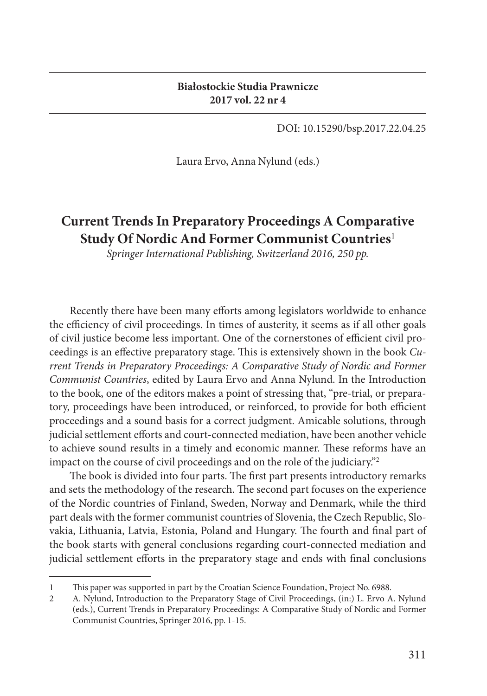DOI: 10.15290/bsp.2017.22.04.25

Laura Ervo, Anna Nylund (eds.)

## **Current Trends In Preparatory Proceedings A Comparative Study Of Nordic And Former Communist Countries**<sup>1</sup>

*Springer International Publishing, Switzerland 2016, 250 pp.*

Recently there have been many efforts among legislators worldwide to enhance the efficiency of civil proceedings. In times of austerity, it seems as if all other goals of civil justice become less important. One of the cornerstones of efficient civil proceedings is an effective preparatory stage. This is extensively shown in the book *Current Trends in Preparatory Proceedings: A Comparative Study of Nordic and Former Communist Countries*, edited by Laura Ervo and Anna Nylund. In the Introduction to the book, one of the editors makes a point of stressing that, "pre-trial, or preparatory, proceedings have been introduced, or reinforced, to provide for both efficient proceedings and a sound basis for a correct judgment. Amicable solutions, through judicial settlement efforts and court-connected mediation, have been another vehicle to achieve sound results in a timely and economic manner. These reforms have an impact on the course of civil proceedings and on the role of the judiciary."<sup>2</sup>

The book is divided into four parts. The first part presents introductory remarks and sets the methodology of the research. The second part focuses on the experience of the Nordic countries of Finland, Sweden, Norway and Denmark, while the third part deals with the former communist countries of Slovenia, the Czech Republic, Slovakia, Lithuania, Latvia, Estonia, Poland and Hungary. The fourth and final part of the book starts with general conclusions regarding court-connected mediation and judicial settlement efforts in the preparatory stage and ends with final conclusions

<sup>1</sup> This paper was supported in part by the Croatian Science Foundation, Project No. 6988.

<sup>2</sup> A. Nylund, Introduction to the Preparatory Stage of Civil Proceedings, (in:) L. Ervo A. Nylund (eds.), Current Trends in Preparatory Proceedings: A Comparative Study of Nordic and Former Communist Countries, Springer 2016, pp. 1-15.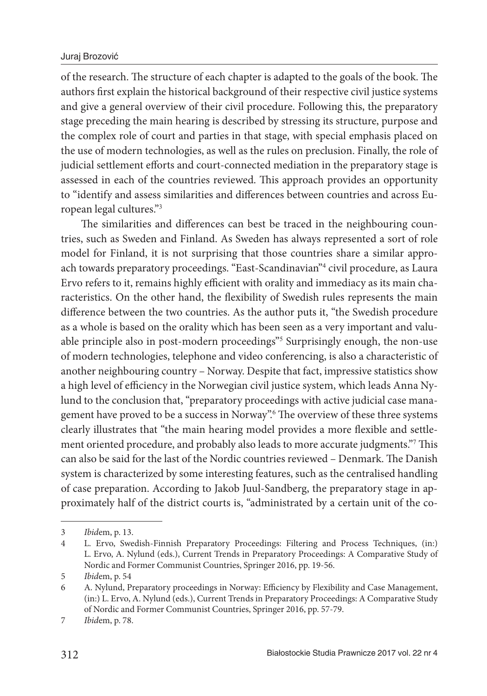## Juraj Brozović

of the research. The structure of each chapter is adapted to the goals of the book. The authors first explain the historical background of their respective civil justice systems and give a general overview of their civil procedure. Following this, the preparatory stage preceding the main hearing is described by stressing its structure, purpose and the complex role of court and parties in that stage, with special emphasis placed on the use of modern technologies, as well as the rules on preclusion. Finally, the role of judicial settlement efforts and court-connected mediation in the preparatory stage is assessed in each of the countries reviewed. This approach provides an opportunity to "identify and assess similarities and differences between countries and across European legal cultures."<sup>3</sup>

The similarities and differences can best be traced in the neighbouring countries, such as Sweden and Finland. As Sweden has always represented a sort of role model for Finland, it is not surprising that those countries share a similar approach towards preparatory proceedings. "East-Scandinavian"<sup>4</sup> civil procedure, as Laura Ervo refers to it, remains highly efficient with orality and immediacy as its main characteristics. On the other hand, the flexibility of Swedish rules represents the main difference between the two countries. As the author puts it, "the Swedish procedure" as a whole is based on the orality which has been seen as a very important and valuable principle also in post-modern proceedings"<sup>5</sup> Surprisingly enough, the non-use of modern technologies, telephone and video conferencing, is also a characteristic of another neighbouring country – Norway. Despite that fact, impressive statistics show a high level of efficiency in the Norwegian civil justice system, which leads Anna Nylund to the conclusion that, "preparatory proceedings with active judicial case management have proved to be a success in Norway".<sup>6</sup> The overview of these three systems clearly illustrates that "the main hearing model provides a more flexible and settlement oriented procedure, and probably also leads to more accurate judgments."<sup>7</sup> This can also be said for the last of the Nordic countries reviewed - Denmark. The Danish system is characterized by some interesting features, such as the centralised handling of case preparation. According to Jakob Juul-Sandberg, the preparatory stage in approximately half of the district courts is, "administrated by a certain unit of the co-

<sup>3</sup> *Ibid*em, p. 13.

<sup>4</sup> L. Ervo, Swedish-Finnish Preparatory Proceedings: Filtering and Process Techniques, (in:) L. Ervo, A. Nylund (eds.), Current Trends in Preparatory Proceedings: A Comparative Study of Nordic and Former Communist Countries, Springer 2016, pp. 19-56.

<sup>5</sup> *Ibid*em, p. 54

<sup>6</sup> A. Nylund, Preparatory proceedings in Norway: Efficiency by Flexibility and Case Management, (in:) L. Ervo, A. Nylund (eds.), Current Trends in Preparatory Proceedings: A Comparative Study of Nordic and Former Communist Countries, Springer 2016, pp. 57-79.

<sup>7</sup> *Ibid*em, p. 78.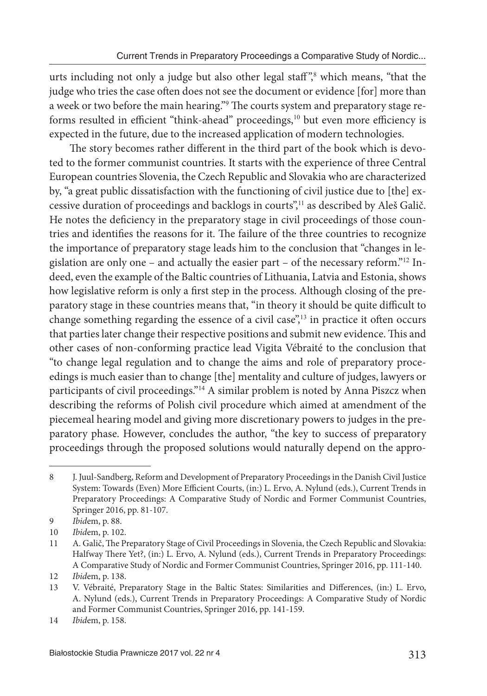urts including not only a judge but also other legal staff ",<sup>8</sup> which means, "that the judge who tries the case often does not see the document or evidence [for] more than a week or two before the main hearing."<sup>9</sup> The courts system and preparatory stage reforms resulted in efficient "think-ahead" proceedings, $10$  but even more efficiency is expected in the future, due to the increased application of modern technologies.

The story becomes rather different in the third part of the book which is devoted to the former communist countries. It starts with the experience of three Central European countries Slovenia, the Czech Republic and Slovakia who are characterized by, "a great public dissatisfaction with the functioning of civil justice due to [the] excessive duration of proceedings and backlogs in courts",<sup>11</sup> as described by Aleš Galič. He notes the deficiency in the preparatory stage in civil proceedings of those countries and identifies the reasons for it. The failure of the three countries to recognize the importance of preparatory stage leads him to the conclusion that "changes in legislation are only one – and actually the easier part – of the necessary reform."<sup>12</sup> Indeed, even the example of the Baltic countries of Lithuania, Latvia and Estonia, shows how legislative reform is only a first step in the process. Although closing of the preparatory stage in these countries means that, "in theory it should be quite difficult to change something regarding the essence of a civil case", $\frac{13}{13}$  in practice it often occurs that parties later change their respective positions and submit new evidence. This and other cases of non-conforming practice lead Vigita Vébraité to the conclusion that "to change legal regulation and to change the aims and role of preparatory proceedings is much easier than to change [the] mentality and culture of judges, lawyers or participants of civil proceedings."<sup>14</sup> A similar problem is noted by Anna Piszcz when describing the reforms of Polish civil procedure which aimed at amendment of the piecemeal hearing model and giving more discretionary powers to judges in the preparatory phase. However, concludes the author, "the key to success of preparatory proceedings through the proposed solutions would naturally depend on the appro-

<sup>8</sup> J. Juul-Sandberg, Reform and Development of Preparatory Proceedings in the Danish Civil Justice System: Towards (Even) More Efficient Courts, (in:) L. Ervo, A. Nylund (eds.), Current Trends in Preparatory Proceedings: A Comparative Study of Nordic and Former Communist Countries, Springer 2016, pp. 81-107.

<sup>9</sup> *Ibid*em, p. 88.

<sup>10</sup> *Ibid*em, p. 102.

<sup>11</sup> A. Galič, The Preparatory Stage of Civil Proceedings in Slovenia, the Czech Republic and Slovakia: Halfway There Yet?, (in:) L. Ervo, A. Nylund (eds.), Current Trends in Preparatory Proceedings: A Comparative Study of Nordic and Former Communist Countries, Springer 2016, pp. 111-140.

<sup>12</sup> *Ibid*em, p. 138.

<sup>13</sup> V. Vébraité, Preparatory Stage in the Baltic States: Similarities and Differences, (in:) L. Ervo, A. Nylund (eds.), Current Trends in Preparatory Proceedings: A Comparative Study of Nordic and Former Communist Countries, Springer 2016, pp. 141-159.

<sup>14</sup> *Ibid*em, p. 158.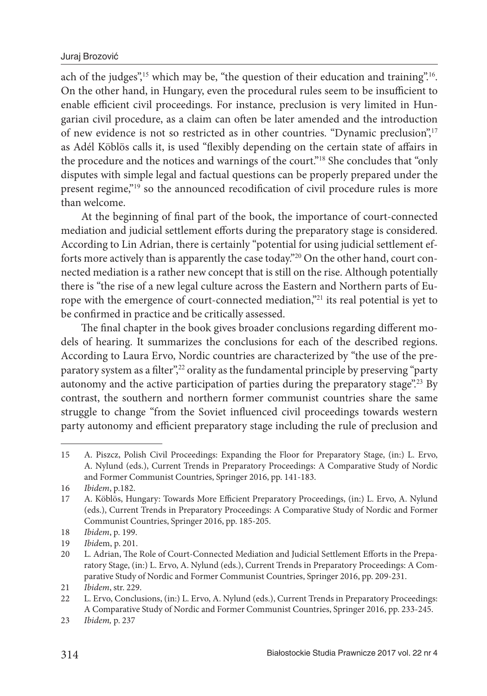ach of the judges",<sup>15</sup> which may be, "the question of their education and training".<sup>16</sup>. On the other hand, in Hungary, even the procedural rules seem to be insufficient to enable efficient civil proceedings. For instance, preclusion is very limited in Hungarian civil procedure, as a claim can often be later amended and the introduction of new evidence is not so restricted as in other countries. "Dynamic preclusion",<sup>17</sup> as Adél Köblös calls it, is used "flexibly depending on the certain state of affairs in the procedure and the notices and warnings of the court."<sup>18</sup> She concludes that "only disputes with simple legal and factual questions can be properly prepared under the present regime,"<sup>19</sup> so the announced recodification of civil procedure rules is more than welcome.

At the beginning of final part of the book, the importance of court-connected mediation and judicial settlement efforts during the preparatory stage is considered. According to Lin Adrian, there is certainly "potential for using judicial settlement efforts more actively than is apparently the case today."20 On the other hand, court connected mediation is a rather new concept that is still on the rise. Although potentially there is "the rise of a new legal culture across the Eastern and Northern parts of Europe with the emergence of court-connected mediation,"<sup>21</sup> its real potential is yet to be confirmed in practice and be critically assessed.

The final chapter in the book gives broader conclusions regarding different models of hearing. It summarizes the conclusions for each of the described regions. According to Laura Ervo, Nordic countries are characterized by "the use of the preparatory system as a filter",<sup>22</sup> orality as the fundamental principle by preserving "party" autonomy and the active participation of parties during the preparatory stage".<sup>23</sup> By contrast, the southern and northern former communist countries share the same struggle to change "from the Soviet influenced civil proceedings towards western party autonomy and efficient preparatory stage including the rule of preclusion and

<sup>15</sup> A. Piszcz, Polish Civil Proceedings: Expanding the Floor for Preparatory Stage, (in:) L. Ervo, A. Nylund (eds.), Current Trends in Preparatory Proceedings: A Comparative Study of Nordic and Former Communist Countries, Springer 2016, pp. 141-183.

<sup>16</sup> *Ibidem*, p.182.

<sup>17</sup> A. Köblös, Hungary: Towards More Efficient Preparatory Proceedings, (in:) L. Ervo, A. Nylund (eds.), Current Trends in Preparatory Proceedings: A Comparative Study of Nordic and Former Communist Countries, Springer 2016, pp. 185-205.

<sup>18</sup> *Ibidem*, p. 199.

<sup>19</sup> *Ibid*em, p. 201.

<sup>20</sup> L. Adrian, The Role of Court-Connected Mediation and Judicial Settlement Efforts in the Preparatory Stage, (in:) L. Ervo, A. Nylund (eds.), Current Trends in Preparatory Proceedings: A Comparative Study of Nordic and Former Communist Countries, Springer 2016, pp. 209-231.

<sup>21</sup> *Ibidem*, str. 229.

<sup>22</sup> L. Ervo, Conclusions, (in:) L. Ervo, A. Nylund (eds.), Current Trends in Preparatory Proceedings: A Comparative Study of Nordic and Former Communist Countries, Springer 2016, pp. 233-245.

<sup>23</sup> *Ibidem,* p. 237